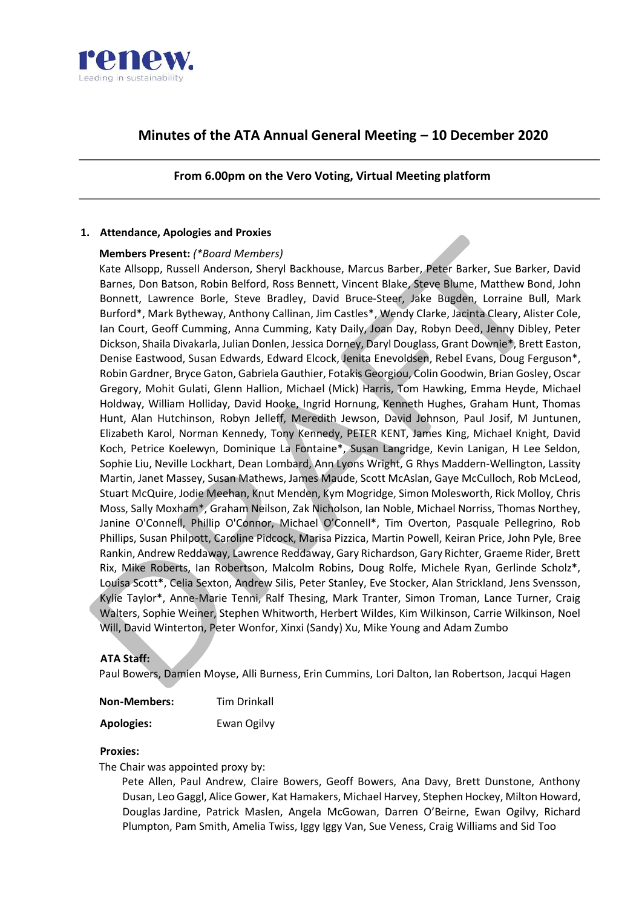

# **Minutes of the ATA Annual General Meeting – 10 December 2020**

## **From 6.00pm on the Vero Voting, Virtual Meeting platform**

## **1. Attendance, Apologies and Proxies**

## **Members Present:** *(\*Board Members)*

Kate Allsopp, Russell Anderson, Sheryl Backhouse, Marcus Barber, Peter Barker, Sue Barker, David Barnes, Don Batson, Robin Belford, Ross Bennett, Vincent Blake, Steve Blume, Matthew Bond, John Bonnett, Lawrence Borle, Steve Bradley, David Bruce-Steer, Jake Bugden, Lorraine Bull, Mark Burford\*, Mark Bytheway, Anthony Callinan, Jim Castles\*, Wendy Clarke, Jacinta Cleary, Alister Cole, Ian Court, Geoff Cumming, Anna Cumming, Katy Daily, Joan Day, Robyn Deed, Jenny Dibley, Peter Dickson, Shaila Divakarla, Julian Donlen, Jessica Dorney, Daryl Douglass, Grant Downie\*, Brett Easton, Denise Eastwood, Susan Edwards, Edward Elcock, Jenita Enevoldsen, Rebel Evans, Doug Ferguson\*, Robin Gardner, Bryce Gaton, Gabriela Gauthier, Fotakis Georgiou, Colin Goodwin, Brian Gosley, Oscar Gregory, Mohit Gulati, Glenn Hallion, Michael (Mick) Harris, Tom Hawking, Emma Heyde, Michael Holdway, William Holliday, David Hooke, Ingrid Hornung, Kenneth Hughes, Graham Hunt, Thomas Hunt, Alan Hutchinson, Robyn Jelleff, Meredith Jewson, David Johnson, Paul Josif, M Juntunen, Elizabeth Karol, Norman Kennedy, Tony Kennedy, PETER KENT, James King, Michael Knight, David Koch, Petrice Koelewyn, Dominique La Fontaine\*, Susan Langridge, Kevin Lanigan, H Lee Seldon, Sophie Liu, Neville Lockhart, Dean Lombard, Ann Lyons Wright, G Rhys Maddern-Wellington, Lassity Martin, Janet Massey, Susan Mathews, James Maude, Scott McAslan, Gaye McCulloch, Rob McLeod, Stuart McQuire, Jodie Meehan, Knut Menden, Kym Mogridge, Simon Molesworth, Rick Molloy, Chris Moss, Sally Moxham\*, Graham Neilson, Zak Nicholson, Ian Noble, Michael Norriss, Thomas Northey, Janine O'Connell, Phillip O'Connor, Michael O'Connell\*, Tim Overton, Pasquale Pellegrino, Rob Phillips, Susan Philpott, Caroline Pidcock, Marisa Pizzica, Martin Powell, Keiran Price, John Pyle, Bree Rankin, Andrew Reddaway, Lawrence Reddaway, Gary Richardson, Gary Richter, Graeme Rider, Brett Rix, Mike Roberts, Ian Robertson, Malcolm Robins, Doug Rolfe, Michele Ryan, Gerlinde Scholz\*, Louisa Scott\*, Celia Sexton, Andrew Silis, Peter Stanley, Eve Stocker, Alan Strickland, Jens Svensson, Kylie Taylor\*, Anne-Marie Tenni, Ralf Thesing, Mark Tranter, Simon Troman, Lance Turner, Craig Walters, Sophie Weiner, Stephen Whitworth, Herbert Wildes, Kim Wilkinson, Carrie Wilkinson, Noel Will, David Winterton, Peter Wonfor, Xinxi (Sandy) Xu, Mike Young and Adam Zumbo

## **ATA Staff:**

Paul Bowers, Damien Moyse, Alli Burness, Erin Cummins, Lori Dalton, Ian Robertson, Jacqui Hagen

| <b>Non-Members:</b> | Tim Drinkall |
|---------------------|--------------|
|---------------------|--------------|

**Apologies:** Ewan Ogilvy

### **Proxies:**

The Chair was appointed proxy by:

Pete Allen, Paul Andrew, Claire Bowers, Geoff Bowers, Ana Davy, Brett Dunstone, Anthony Dusan, Leo Gaggl, Alice Gower, Kat Hamakers, Michael Harvey, Stephen Hockey, Milton Howard, Douglas Jardine, Patrick Maslen, Angela McGowan, Darren O'Beirne, Ewan Ogilvy, Richard Plumpton, Pam Smith, Amelia Twiss, Iggy Iggy Van, Sue Veness, Craig Williams and Sid Too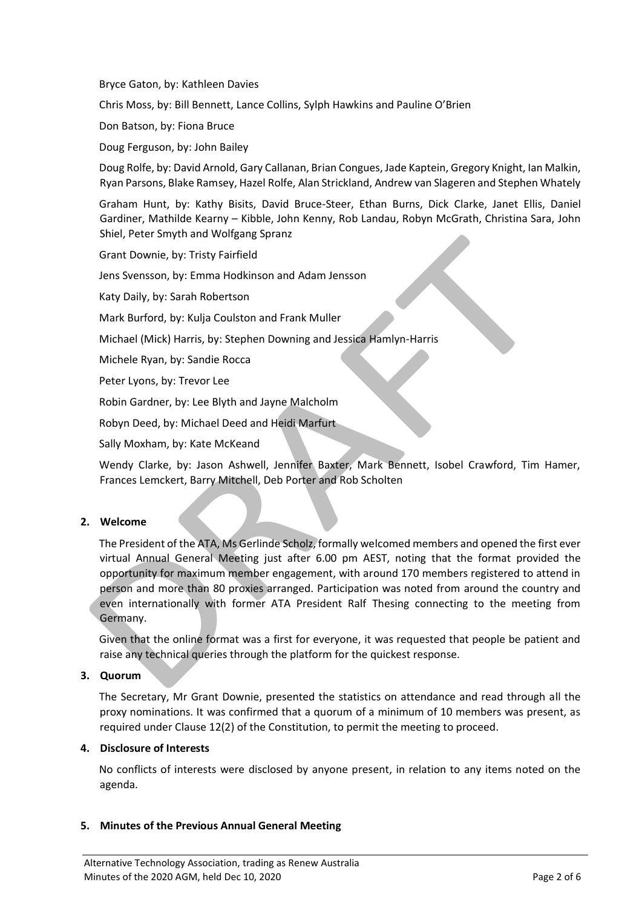Bryce Gaton, by: Kathleen Davies

Chris Moss, by: Bill Bennett, Lance Collins, Sylph Hawkins and Pauline O'Brien

Don Batson, by: Fiona Bruce

Doug Ferguson, by: John Bailey

Doug Rolfe, by: David Arnold, Gary Callanan, Brian Congues, Jade Kaptein, Gregory Knight, Ian Malkin, Ryan Parsons, Blake Ramsey, Hazel Rolfe, Alan Strickland, Andrew van Slageren and Stephen Whately

Graham Hunt, by: Kathy Bisits, David Bruce-Steer, Ethan Burns, Dick Clarke, Janet Ellis, Daniel Gardiner, Mathilde Kearny – Kibble, John Kenny, Rob Landau, Robyn McGrath, Christina Sara, John Shiel, Peter Smyth and Wolfgang Spranz

Grant Downie, by: Tristy Fairfield

Jens Svensson, by: Emma Hodkinson and Adam Jensson

Katy Daily, by: Sarah Robertson

Mark Burford, by: Kulja Coulston and Frank Muller

Michael (Mick) Harris, by: Stephen Downing and Jessica Hamlyn-Harris

Michele Ryan, by: Sandie Rocca

Peter Lyons, by: Trevor Lee

Robin Gardner, by: Lee Blyth and Jayne Malcholm

Robyn Deed, by: Michael Deed and Heidi Marfurt

Sally Moxham, by: Kate McKeand

Wendy Clarke, by: Jason Ashwell, Jennifer Baxter, Mark Bennett, Isobel Crawford, Tim Hamer, Frances Lemckert, Barry Mitchell, Deb Porter and Rob Scholten

### **2. Welcome**

The President of the ATA, Ms Gerlinde Scholz, formally welcomed members and opened the first ever virtual Annual General Meeting just after 6.00 pm AEST, noting that the format provided the opportunity for maximum member engagement, with around 170 members registered to attend in person and more than 80 proxies arranged. Participation was noted from around the country and even internationally with former ATA President Ralf Thesing connecting to the meeting from Germany.

Given that the online format was a first for everyone, it was requested that people be patient and raise any technical queries through the platform for the quickest response.

### **3. Quorum**

The Secretary, Mr Grant Downie, presented the statistics on attendance and read through all the proxy nominations. It was confirmed that a quorum of a minimum of 10 members was present, as required under Clause 12(2) of the Constitution, to permit the meeting to proceed.

#### **4. Disclosure of Interests**

No conflicts of interests were disclosed by anyone present, in relation to any items noted on the agenda.

### **5. Minutes of the Previous Annual General Meeting**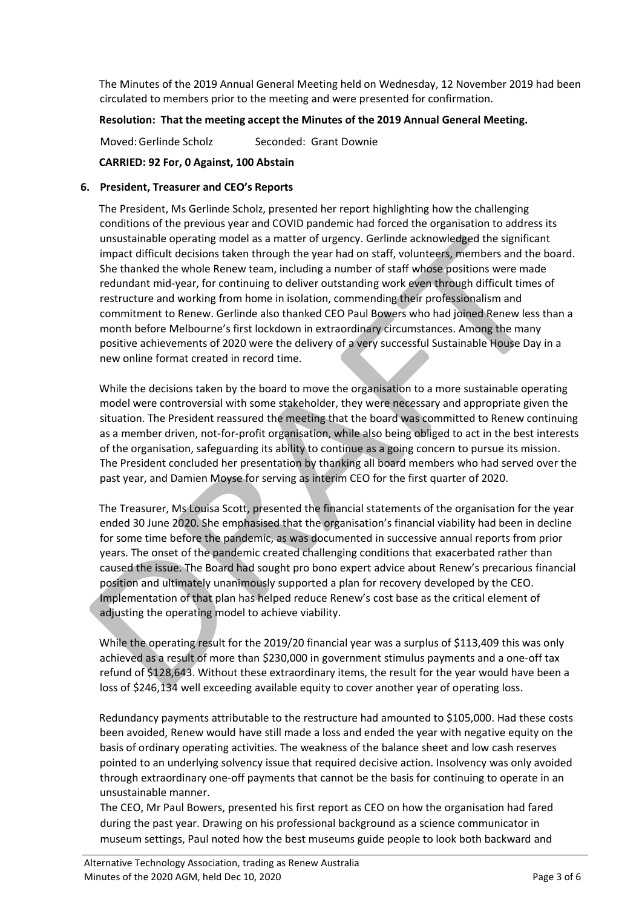The Minutes of the 2019 Annual General Meeting held on Wednesday, 12 November 2019 had been circulated to members prior to the meeting and were presented for confirmation.

## **Resolution: That the meeting accept the Minutes of the 2019 Annual General Meeting.**

Moved: Gerlinde Scholz Seconded: Grant Downie

## **CARRIED: 92 For, 0 Against, 100 Abstain**

## **6. President, Treasurer and CEO's Reports**

The President, Ms Gerlinde Scholz, presented her report highlighting how the challenging conditions of the previous year and COVID pandemic had forced the organisation to address its unsustainable operating model as a matter of urgency. Gerlinde acknowledged the significant impact difficult decisions taken through the year had on staff, volunteers, members and the board. She thanked the whole Renew team, including a number of staff whose positions were made redundant mid-year, for continuing to deliver outstanding work even through difficult times of restructure and working from home in isolation, commending their professionalism and commitment to Renew. Gerlinde also thanked CEO Paul Bowers who had joined Renew less than a month before Melbourne's first lockdown in extraordinary circumstances. Among the many positive achievements of 2020 were the delivery of a very successful Sustainable House Day in a new online format created in record time.

While the decisions taken by the board to move the organisation to a more sustainable operating model were controversial with some stakeholder, they were necessary and appropriate given the situation. The President reassured the meeting that the board was committed to Renew continuing as a member driven, not-for-profit organisation, while also being obliged to act in the best interests of the organisation, safeguarding its ability to continue as a going concern to pursue its mission. The President concluded her presentation by thanking all board members who had served over the past year, and Damien Moyse for serving as interim CEO for the first quarter of 2020.

The Treasurer, Ms Louisa Scott, presented the financial statements of the organisation for the year ended 30 June 2020. She emphasised that the organisation's financial viability had been in decline for some time before the pandemic, as was documented in successive annual reports from prior years. The onset of the pandemic created challenging conditions that exacerbated rather than caused the issue. The Board had sought pro bono expert advice about Renew's precarious financial position and ultimately unanimously supported a plan for recovery developed by the CEO. Implementation of that plan has helped reduce Renew's cost base as the critical element of adjusting the operating model to achieve viability.

While the operating result for the 2019/20 financial year was a surplus of \$113,409 this was only achieved as a result of more than \$230,000 in government stimulus payments and a one-off tax refund of \$128,643. Without these extraordinary items, the result for the year would have been a loss of \$246,134 well exceeding available equity to cover another year of operating loss.

Redundancy payments attributable to the restructure had amounted to \$105,000. Had these costs been avoided, Renew would have still made a loss and ended the year with negative equity on the basis of ordinary operating activities. The weakness of the balance sheet and low cash reserves pointed to an underlying solvency issue that required decisive action. Insolvency was only avoided through extraordinary one-off payments that cannot be the basis for continuing to operate in an unsustainable manner.

The CEO, Mr Paul Bowers, presented his first report as CEO on how the organisation had fared during the past year. Drawing on his professional background as a science communicator in museum settings, Paul noted how the best museums guide people to look both backward and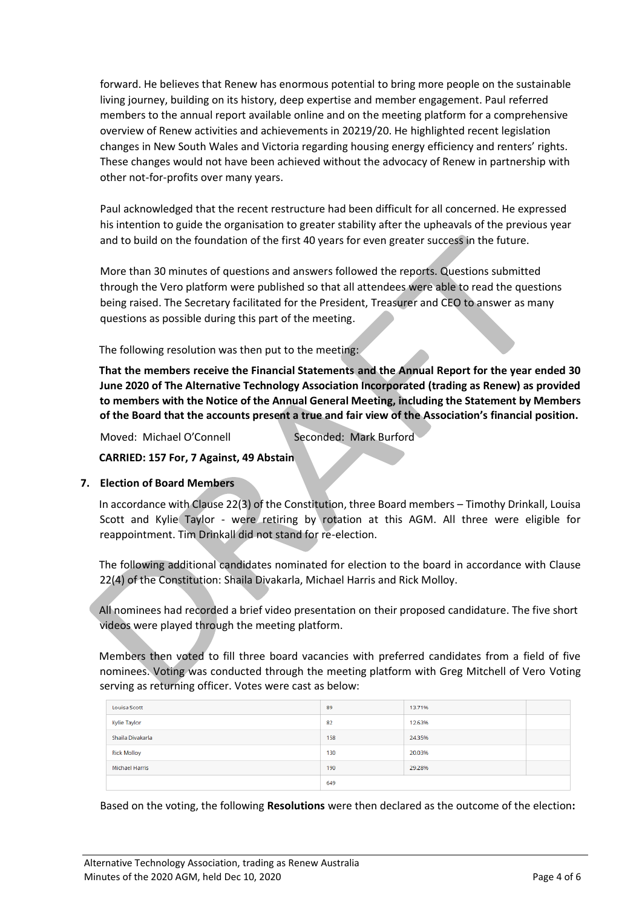forward. He believes that Renew has enormous potential to bring more people on the sustainable living journey, building on its history, deep expertise and member engagement. Paul referred members to the annual report available online and on the meeting platform for a comprehensive overview of Renew activities and achievements in 20219/20. He highlighted recent legislation changes in New South Wales and Victoria regarding housing energy efficiency and renters' rights. These changes would not have been achieved without the advocacy of Renew in partnership with other not-for-profits over many years.

Paul acknowledged that the recent restructure had been difficult for all concerned. He expressed his intention to guide the organisation to greater stability after the upheavals of the previous year and to build on the foundation of the first 40 years for even greater success in the future.

More than 30 minutes of questions and answers followed the reports. Questions submitted through the Vero platform were published so that all attendees were able to read the questions being raised. The Secretary facilitated for the President, Treasurer and CEO to answer as many questions as possible during this part of the meeting.

The following resolution was then put to the meeting:

**That the members receive the Financial Statements and the Annual Report for the year ended 30 June 2020 of The Alternative Technology Association Incorporated (trading as Renew) as provided to members with the Notice of the Annual General Meeting, including the Statement by Members of the Board that the accounts present a true and fair view of the Association's financial position.**

Moved: Michael O'Connell Seconded: Mark Burford

**CARRIED: 157 For, 7 Against, 49 Abstain**

### **7. Election of Board Members**

In accordance with Clause 22(3) of the Constitution, three Board members – Timothy Drinkall, Louisa Scott and Kylie Taylor - were retiring by rotation at this AGM. All three were eligible for reappointment. Tim Drinkall did not stand for re-election.

The following additional candidates nominated for election to the board in accordance with Clause 22(4) of the Constitution: Shaila Divakarla, Michael Harris and Rick Molloy.

All nominees had recorded a brief video presentation on their proposed candidature. The five short videos were played through the meeting platform.

Members then voted to fill three board vacancies with preferred candidates from a field of five nominees. Voting was conducted through the meeting platform with Greg Mitchell of Vero Voting serving as returning officer. Votes were cast as below:

| Louisa Scott       | 89  | 13.71% |  |
|--------------------|-----|--------|--|
| Kylie Taylor       | 82  | 12.63% |  |
| Shaila Divakarla   | 158 | 24.35% |  |
| <b>Rick Molloy</b> | 130 | 20.03% |  |
| Michael Harris     | 190 | 29.28% |  |
|                    | 649 |        |  |

Based on the voting, the following **Resolutions** were then declared as the outcome of the election**:**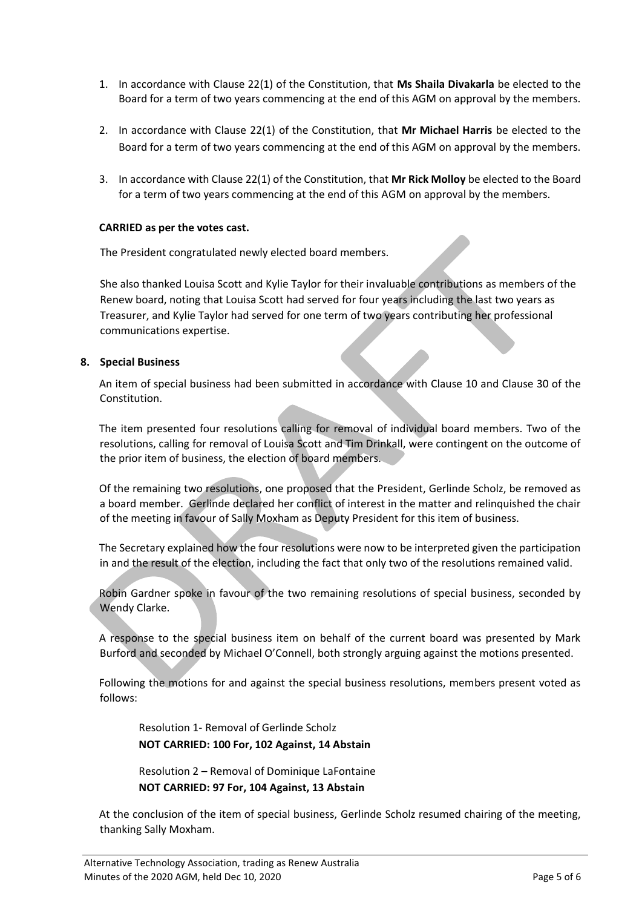- 1. In accordance with Clause 22(1) of the Constitution, that **Ms Shaila Divakarla** be elected to the Board for a term of two years commencing at the end of this AGM on approval by the members.
- 2. In accordance with Clause 22(1) of the Constitution, that **Mr Michael Harris** be elected to the Board for a term of two years commencing at the end of this AGM on approval by the members.
- 3. In accordance with Clause 22(1) of the Constitution, that **Mr Rick Molloy** be elected to the Board for a term of two years commencing at the end of this AGM on approval by the members.

## **CARRIED as per the votes cast.**

The President congratulated newly elected board members.

She also thanked Louisa Scott and Kylie Taylor for their invaluable contributions as members of the Renew board, noting that Louisa Scott had served for four years including the last two years as Treasurer, and Kylie Taylor had served for one term of two years contributing her professional communications expertise.

## **8. Special Business**

An item of special business had been submitted in accordance with Clause 10 and Clause 30 of the Constitution.

The item presented four resolutions calling for removal of individual board members. Two of the resolutions, calling for removal of Louisa Scott and Tim Drinkall, were contingent on the outcome of the prior item of business, the election of board members.

Of the remaining two resolutions, one proposed that the President, Gerlinde Scholz, be removed as a board member. Gerlinde declared her conflict of interest in the matter and relinquished the chair of the meeting in favour of Sally Moxham as Deputy President for this item of business.

The Secretary explained how the four resolutions were now to be interpreted given the participation in and the result of the election, including the fact that only two of the resolutions remained valid.

Robin Gardner spoke in favour of the two remaining resolutions of special business, seconded by Wendy Clarke.

A response to the special business item on behalf of the current board was presented by Mark Burford and seconded by Michael O'Connell, both strongly arguing against the motions presented.

Following the motions for and against the special business resolutions, members present voted as follows:

Resolution 1- Removal of Gerlinde Scholz **NOT CARRIED: 100 For, 102 Against, 14 Abstain**

Resolution 2 – Removal of Dominique LaFontaine **NOT CARRIED: 97 For, 104 Against, 13 Abstain**

At the conclusion of the item of special business, Gerlinde Scholz resumed chairing of the meeting, thanking Sally Moxham.